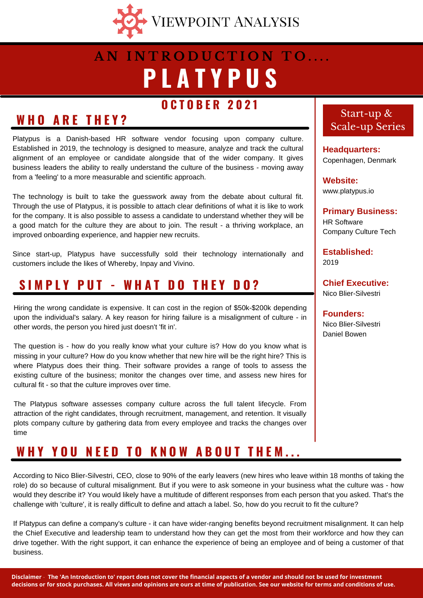

## **P L A T Y P U S A N I N T R O D U C T I O N T O . . . .**

### **O C T O B E R 2 0 2 1**

### **W H O A R E T H E Y ?**

Platypus is a Danish-based HR software vendor focusing upon company culture. Established in 2019, the technology is designed to measure, analyze and track the cultural alignment of an employee or candidate alongside that of the wider company. It gives business leaders the ability to really understand the culture of the business - moving away from a 'feeling' to a more measurable and scientific approach.

The technology is built to take the guesswork away from the debate about cultural fit. Through the use of Platypus, it is possible to attach clear definitions of what it is like to work for the company. It is also possible to assess a candidate to understand whether they will be a good match for the culture they are about to join. The result - a thriving workplace, an improved onboarding experience, and happier new recruits.

Since start-up, Platypus have successfully sold their technology internationally and customers include the likes of Whereby, Inpay and Vivino.

### **S I M P L Y P U T - W H A T D O T H E Y D O ?**

Hiring the wrong candidate is expensive. It can cost in the region of \$50k-\$200k depending upon the individual's salary. A key reason for hiring failure is a misalignment of culture - in other words, the person you hired just doesn't 'fit in'.

The question is - how do you really know what your culture is? How do you know what is missing in your culture? How do you know whether that new hire will be the right hire? This is where Platypus does their thing. Their software provides a range of tools to assess the existing culture of the business; monitor the changes over time, and assess new hires for cultural fit - so that the culture improves over time.

The Platypus software assesses company culture across the full talent lifecycle. From attraction of the right candidates, through recruitment, management, and retention. It visually plots company culture by gathering data from every employee and tracks the changes over time

### WHY YOU NEED TO KNOW ABOUT THEM...

According to Nico Blier-Silvestri, CEO, close to 90% of the early leavers (new hires who leave within 18 months of taking the role) do so because of cultural misalignment. But if you were to ask someone in your business what the culture was - how would they describe it? You would likely have a multitude of different responses from each person that you asked. That's the challenge with 'culture', it is really difficult to define and attach a label. So, how do you recruit to fit the culture?

If Platypus can define a company's culture - it can have wider-ranging benefits beyond recruitment misalignment. It can help the Chief Executive and leadership team to understand how they can get the most from their workforce and how they can drive together. With the right support, it can enhance the experience of being an employee and of being a customer of that business.

#### Start-up & Scale-up Series

**Headquarters:** Copenhagen, Denmark

**Website:** www.platypus.io

**Primary Business:** HR Software Company Culture Tech

**Established:** 2019

**Chief Executive:** Nico Blier-Silvestri

**Founders:** Nico Blier-Silvestri Daniel Bowen